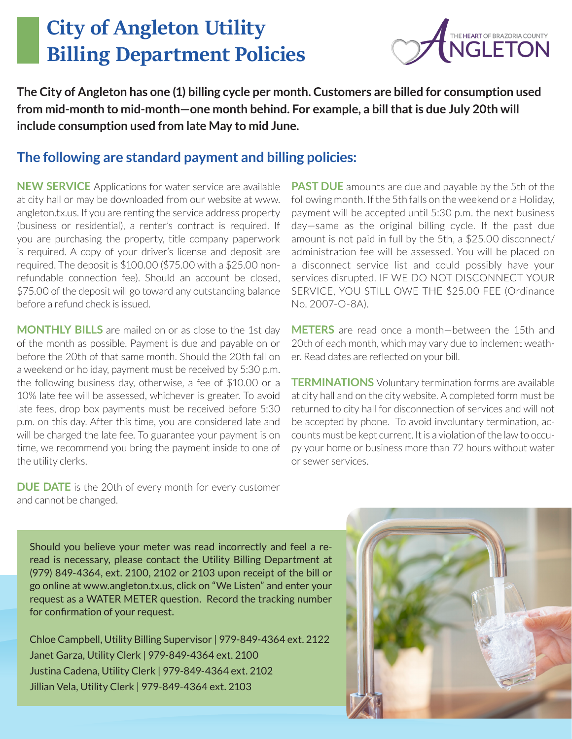## City of Angleton Utility Billing Department Policies



**The City of Angleton has one (1) billing cycle per month. Customers are billed for consumption used from mid-month to mid-month—one month behind. For example, a bill that is due July 20th will include consumption used from late May to mid June.**

## **The following are standard payment and billing policies:**

**NEW SERVICE** Applications for water service are available at city hall or may be downloaded from our website at www. angleton.tx.us. If you are renting the service address property (business or residential), a renter's contract is required. If you are purchasing the property, title company paperwork is required. A copy of your driver's license and deposit are required. The deposit is \$100.00 (\$75.00 with a \$25.00 nonrefundable connection fee). Should an account be closed, \$75.00 of the deposit will go toward any outstanding balance before a refund check is issued.

**MONTHLY BILLS** are mailed on or as close to the 1st day of the month as possible. Payment is due and payable on or before the 20th of that same month. Should the 20th fall on a weekend or holiday, payment must be received by 5:30 p.m. the following business day, otherwise, a fee of \$10.00 or a 10% late fee will be assessed, whichever is greater. To avoid late fees, drop box payments must be received before 5:30 p.m. on this day. After this time, you are considered late and will be charged the late fee. To guarantee your payment is on time, we recommend you bring the payment inside to one of the utility clerks.

**PAST DUE** amounts are due and payable by the 5th of the following month. If the 5th falls on the weekend or a Holiday, payment will be accepted until 5:30 p.m. the next business day—same as the original billing cycle. If the past due amount is not paid in full by the 5th, a \$25.00 disconnect/ administration fee will be assessed. You will be placed on a disconnect service list and could possibly have your services disrupted. IF WE DO NOT DISCONNECT YOUR SERVICE, YOU STILL OWE THE \$25.00 FEE (Ordinance No. 2007-O-8A).

**METERS** are read once a month—between the 15th and 20th of each month, which may vary due to inclement weather. Read dates are reflected on your bill.

**TERMINATIONS** Voluntary termination forms are available at city hall and on the city website. A completed form must be returned to city hall for disconnection of services and will not be accepted by phone. To avoid involuntary termination, accounts must be kept current. It is a violation of the law to occupy your home or business more than 72 hours without water or sewer services.

**DUE DATE** is the 20th of every month for every customer and cannot be changed.

Should you believe your meter was read incorrectly and feel a reread is necessary, please contact the Utility Billing Department at (979) 849-4364, ext. 2100, 2102 or 2103 upon receipt of the bill or go online at www.angleton.tx.us, click on "We Listen" and enter your request as a WATER METER question. Record the tracking number for confirmation of your request.

Chloe Campbell, Utility Billing Supervisor | 979-849-4364 ext. 2122 Janet Garza, Utility Clerk | 979-849-4364 ext. 2100 Justina Cadena, Utility Clerk | 979-849-4364 ext. 2102 Jillian Vela, Utility Clerk | 979-849-4364 ext. 2103